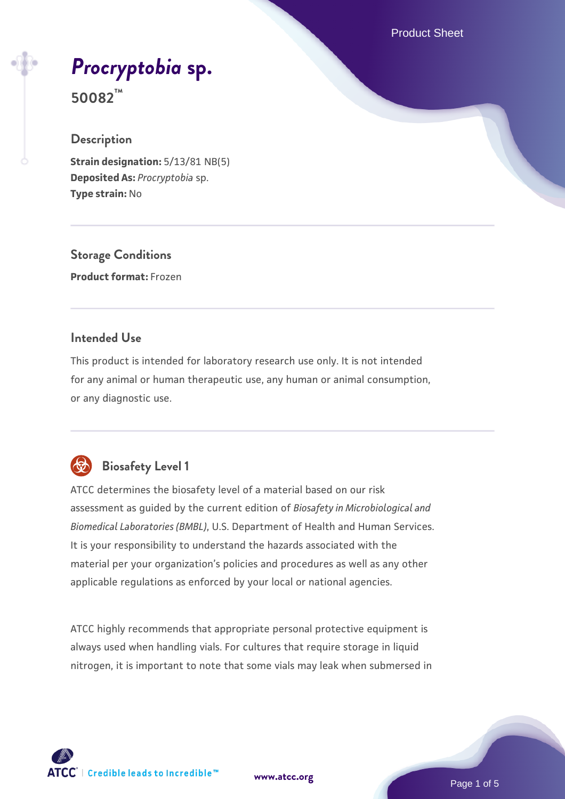Product Sheet

# *[Procryptobia](https://www.atcc.org/products/50082)* **[sp.](https://www.atcc.org/products/50082)**

**50082™**

## **Description**

**Strain designation:** 5/13/81 NB(5) **Deposited As:** *Procryptobia* sp. **Type strain:** No

**Storage Conditions Product format:** Frozen

## **Intended Use**

This product is intended for laboratory research use only. It is not intended for any animal or human therapeutic use, any human or animal consumption, or any diagnostic use.



## **Biosafety Level 1**

ATCC determines the biosafety level of a material based on our risk assessment as guided by the current edition of *Biosafety in Microbiological and Biomedical Laboratories (BMBL)*, U.S. Department of Health and Human Services. It is your responsibility to understand the hazards associated with the material per your organization's policies and procedures as well as any other applicable regulations as enforced by your local or national agencies.

ATCC highly recommends that appropriate personal protective equipment is always used when handling vials. For cultures that require storage in liquid nitrogen, it is important to note that some vials may leak when submersed in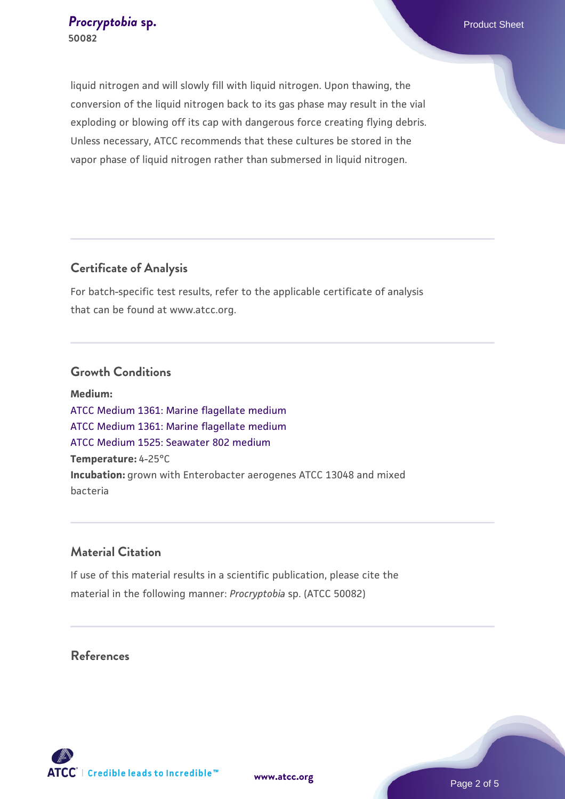liquid nitrogen and will slowly fill with liquid nitrogen. Upon thawing, the conversion of the liquid nitrogen back to its gas phase may result in the vial exploding or blowing off its cap with dangerous force creating flying debris. Unless necessary, ATCC recommends that these cultures be stored in the vapor phase of liquid nitrogen rather than submersed in liquid nitrogen.

## **Certificate of Analysis**

For batch-specific test results, refer to the applicable certificate of analysis that can be found at www.atcc.org.

## **Growth Conditions**

**Medium:**  [ATCC Medium 1361: Marine flagellate medium](https://www.atcc.org/-/media/product-assets/documents/microbial-media-formulations/atcc-medium-1361.pdf?rev=bcddf4a97ac4453eaa7203587211bc63) [ATCC Medium 1361: Marine flagellate medium](https://www.atcc.org/-/media/product-assets/documents/microbial-media-formulations/atcc-medium-1361.pdf?rev=bcddf4a97ac4453eaa7203587211bc63) [ATCC Medium 1525: Seawater 802 medium](https://www.atcc.org/-/media/product-assets/documents/microbial-media-formulations/1/5/2/5/atcc-medium-1525.pdf?rev=a388414940634267b7071e94a0def7b3) **Temperature:** 4-25°C **Incubation:** grown with Enterobacter aerogenes ATCC 13048 and mixed bacteria

## **Material Citation**

If use of this material results in a scientific publication, please cite the material in the following manner: *Procryptobia* sp. (ATCC 50082)

## **References**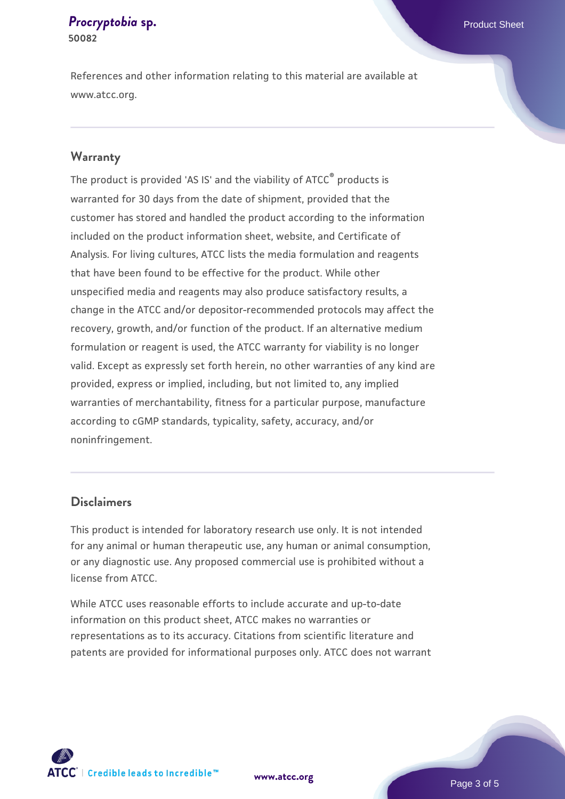#### **[Procryptobia](https://www.atcc.org/products/50082) [sp.](https://www.atcc.org/products/50082) Procryptobia sp. Procryptobia 50082**

References and other information relating to this material are available at www.atcc.org.

### **Warranty**

The product is provided 'AS IS' and the viability of ATCC® products is warranted for 30 days from the date of shipment, provided that the customer has stored and handled the product according to the information included on the product information sheet, website, and Certificate of Analysis. For living cultures, ATCC lists the media formulation and reagents that have been found to be effective for the product. While other unspecified media and reagents may also produce satisfactory results, a change in the ATCC and/or depositor-recommended protocols may affect the recovery, growth, and/or function of the product. If an alternative medium formulation or reagent is used, the ATCC warranty for viability is no longer valid. Except as expressly set forth herein, no other warranties of any kind are provided, express or implied, including, but not limited to, any implied warranties of merchantability, fitness for a particular purpose, manufacture according to cGMP standards, typicality, safety, accuracy, and/or noninfringement.

## **Disclaimers**

This product is intended for laboratory research use only. It is not intended for any animal or human therapeutic use, any human or animal consumption, or any diagnostic use. Any proposed commercial use is prohibited without a license from ATCC.

While ATCC uses reasonable efforts to include accurate and up-to-date information on this product sheet, ATCC makes no warranties or representations as to its accuracy. Citations from scientific literature and patents are provided for informational purposes only. ATCC does not warrant



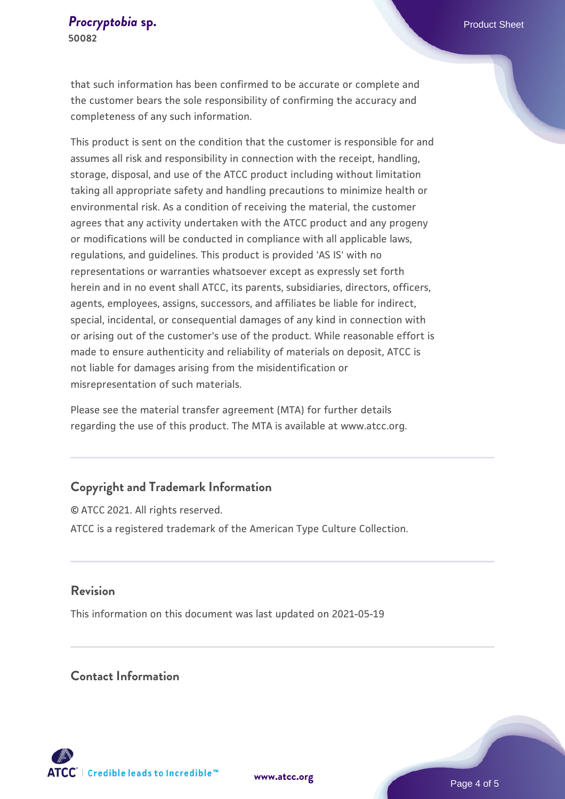that such information has been confirmed to be accurate or complete and the customer bears the sole responsibility of confirming the accuracy and completeness of any such information.

This product is sent on the condition that the customer is responsible for and assumes all risk and responsibility in connection with the receipt, handling, storage, disposal, and use of the ATCC product including without limitation taking all appropriate safety and handling precautions to minimize health or environmental risk. As a condition of receiving the material, the customer agrees that any activity undertaken with the ATCC product and any progeny or modifications will be conducted in compliance with all applicable laws, regulations, and guidelines. This product is provided 'AS IS' with no representations or warranties whatsoever except as expressly set forth herein and in no event shall ATCC, its parents, subsidiaries, directors, officers, agents, employees, assigns, successors, and affiliates be liable for indirect, special, incidental, or consequential damages of any kind in connection with or arising out of the customer's use of the product. While reasonable effort is made to ensure authenticity and reliability of materials on deposit, ATCC is not liable for damages arising from the misidentification or misrepresentation of such materials.

Please see the material transfer agreement (MTA) for further details regarding the use of this product. The MTA is available at www.atcc.org.

## **Copyright and Trademark Information**

© ATCC 2021. All rights reserved. ATCC is a registered trademark of the American Type Culture Collection.

## **Revision**

This information on this document was last updated on 2021-05-19

## **Contact Information**



**[www.atcc.org](http://www.atcc.org)**